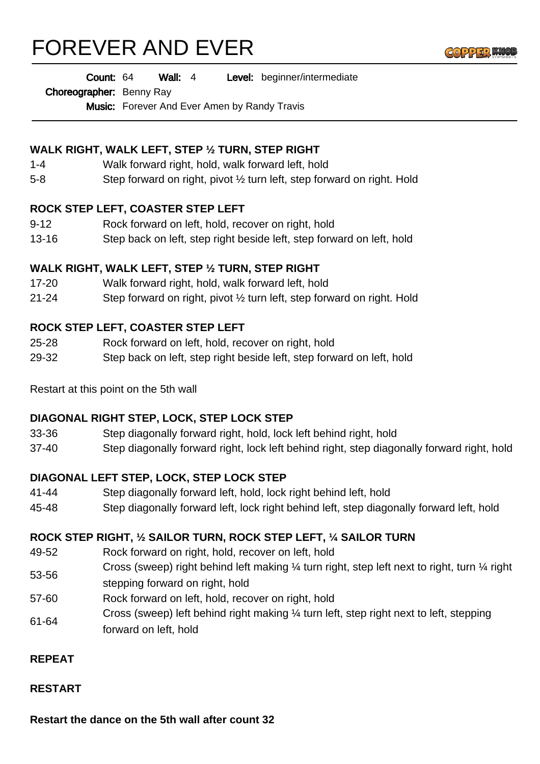# FOREVER AND EVER



Wall: 4 Level: beginner/intermediate Count: 64

Choreographer: Benny Ray

Music: Forever And Ever Amen by Randy Travis

## **WALK RIGHT, WALK LEFT, STEP ½ TURN, STEP RIGHT**

- 1-4 Walk forward right, hold, walk forward left, hold
- 5-8 Step forward on right, pivot ½ turn left, step forward on right. Hold

### **ROCK STEP LEFT, COASTER STEP LEFT**

- 9-12 Rock forward on left, hold, recover on right, hold
- 13-16 Step back on left, step right beside left, step forward on left, hold

## **WALK RIGHT, WALK LEFT, STEP ½ TURN, STEP RIGHT**

- 17-20 Walk forward right, hold, walk forward left, hold
- 21-24 Step forward on right, pivot ½ turn left, step forward on right. Hold

### **ROCK STEP LEFT, COASTER STEP LEFT**

- 25-28 Rock forward on left, hold, recover on right, hold
- 29-32 Step back on left, step right beside left, step forward on left, hold

Restart at this point on the 5th wall

### **DIAGONAL RIGHT STEP, LOCK, STEP LOCK STEP**

- 33-36 Step diagonally forward right, hold, lock left behind right, hold
- 37-40 Step diagonally forward right, lock left behind right, step diagonally forward right, hold

### **DIAGONAL LEFT STEP, LOCK, STEP LOCK STEP**

- 41-44 Step diagonally forward left, hold, lock right behind left, hold
- 45-48 Step diagonally forward left, lock right behind left, step diagonally forward left, hold

## **ROCK STEP RIGHT, ½ SAILOR TURN, ROCK STEP LEFT, ¼ SAILOR TURN**

- 49-52 Rock forward on right, hold, recover on left, hold
- 53-56 Cross (sweep) right behind left making ¼ turn right, step left next to right, turn ¼ right stepping forward on right, hold
- 57-60 Rock forward on left, hold, recover on right, hold
- 61-64 Cross (sweep) left behind right making ¼ turn left, step right next to left, stepping forward on left, hold

### **REPEAT**

#### **RESTART**

**Restart the dance on the 5th wall after count 32**